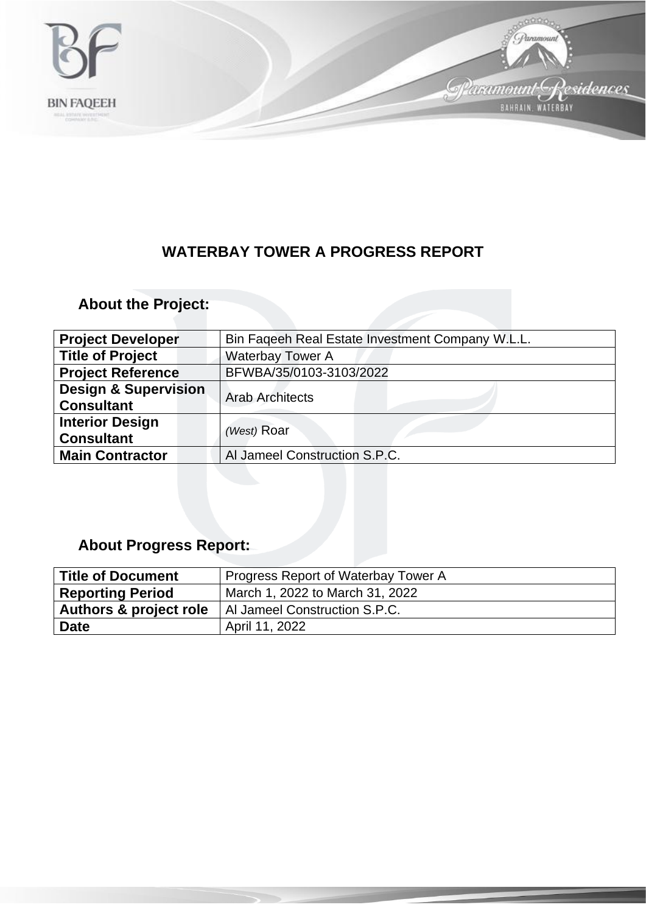

## **WATERBAY TOWER A PROGRESS REPORT**

## **About the Project:**

| <b>Project Developer</b>                             | Bin Faqeeh Real Estate Investment Company W.L.L. |
|------------------------------------------------------|--------------------------------------------------|
| <b>Title of Project</b>                              | <b>Waterbay Tower A</b>                          |
| <b>Project Reference</b>                             | BFWBA/35/0103-3103/2022                          |
| <b>Design &amp; Supervision</b><br><b>Consultant</b> | <b>Arab Architects</b>                           |
| <b>Interior Design</b><br><b>Consultant</b>          | (West) Roar                                      |
| <b>Main Contractor</b>                               | Al Jameel Construction S.P.C.                    |

## **About Progress Report:**

| <b>Title of Document</b>          | Progress Report of Waterbay Tower A |
|-----------------------------------|-------------------------------------|
| <b>Reporting Period</b>           | March 1, 2022 to March 31, 2022     |
| <b>Authors &amp; project role</b> | Al Jameel Construction S.P.C.       |
| <b>Date</b>                       | April 11, 2022                      |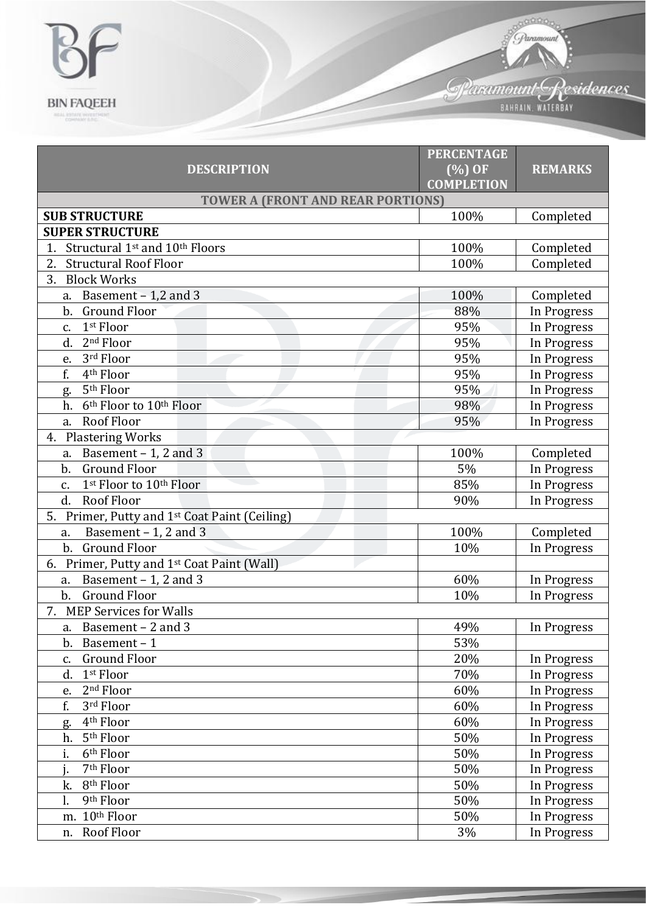

|                                                              | <b>PERCENTAGE</b>              |                |  |  |
|--------------------------------------------------------------|--------------------------------|----------------|--|--|
| <b>DESCRIPTION</b>                                           | $(\%)$ OF<br><b>COMPLETION</b> | <b>REMARKS</b> |  |  |
| <b>TOWER A (FRONT AND REAR PORTIONS)</b>                     |                                |                |  |  |
| <b>SUB STRUCTURE</b>                                         | 100%                           | Completed      |  |  |
| <b>SUPER STRUCTURE</b>                                       |                                |                |  |  |
| Structural 1 <sup>st</sup> and 10 <sup>th</sup> Floors<br>1. | 100%                           | Completed      |  |  |
| 2.<br><b>Structural Roof Floor</b>                           | 100%                           | Completed      |  |  |
| 3.<br><b>Block Works</b>                                     |                                |                |  |  |
| Basement - 1,2 and 3<br>a.                                   | 100%                           | Completed      |  |  |
| $\mathbf{b}$ .<br><b>Ground Floor</b>                        | 88%                            | In Progress    |  |  |
| 1st Floor<br>c.                                              | 95%                            | In Progress    |  |  |
| $2nd$ Floor<br>d.                                            | 95%                            | In Progress    |  |  |
| 3rd Floor<br>e.                                              | 95%                            | In Progress    |  |  |
| f.<br>4 <sup>th</sup> Floor                                  | 95%                            | In Progress    |  |  |
| 5 <sup>th</sup> Floor<br>g.                                  | 95%                            | In Progress    |  |  |
| 6 <sup>th</sup> Floor to 10 <sup>th</sup> Floor<br>h.        | 98%                            | In Progress    |  |  |
| <b>Roof Floor</b><br>a.                                      | 95%                            | In Progress    |  |  |
| <b>Plastering Works</b><br>4.                                |                                |                |  |  |
| a. Basement $-1$ , 2 and 3                                   | 100%                           | Completed      |  |  |
| <b>Ground Floor</b><br>b.                                    | 5%                             | In Progress    |  |  |
| 1st Floor to 10th Floor<br>c.                                | 85%                            | In Progress    |  |  |
| d.<br><b>Roof Floor</b>                                      | 90%                            | In Progress    |  |  |
| Primer, Putty and 1 <sup>st</sup> Coat Paint (Ceiling)<br>5. |                                |                |  |  |
| Basement $-1$ , 2 and 3<br>a.                                | 100%                           | Completed      |  |  |
| <b>Ground Floor</b><br>b.                                    | 10%                            | In Progress    |  |  |
| Primer, Putty and 1st Coat Paint (Wall)<br>6.                |                                |                |  |  |
| Basement $-1$ , 2 and 3<br>a.                                | 60%                            | In Progress    |  |  |
| <b>Ground Floor</b><br>b.                                    | 10%                            | In Progress    |  |  |
| <b>MEP Services for Walls</b><br>7.                          |                                |                |  |  |
| a. Basement - 2 and 3                                        | 49%                            | In Progress    |  |  |
| b. Basement-1                                                | 53%                            |                |  |  |
| <b>Ground Floor</b><br>c.                                    | 20%                            | In Progress    |  |  |
| 1st Floor<br>d.                                              | 70%                            | In Progress    |  |  |
| 2 <sup>nd</sup> Floor<br>e.                                  | 60%                            | In Progress    |  |  |
| f.<br>3rd Floor                                              | 60%                            | In Progress    |  |  |
| 4 <sup>th</sup> Floor<br>g.                                  | 60%                            | In Progress    |  |  |
| 5 <sup>th</sup> Floor<br>h.                                  | 50%                            | In Progress    |  |  |
| i.<br>6 <sup>th</sup> Floor                                  | 50%                            | In Progress    |  |  |
| 7 <sup>th</sup> Floor                                        | 50%                            | In Progress    |  |  |
| 8 <sup>th</sup> Floor<br>k.                                  | 50%                            | In Progress    |  |  |
| 9th Floor                                                    | 50%                            | In Progress    |  |  |
| m. 10th Floor                                                | 50%                            | In Progress    |  |  |
| Roof Floor<br>n.                                             | 3%                             | In Progress    |  |  |

Sparamount Residences

**Comment** 

*J. Paramount*